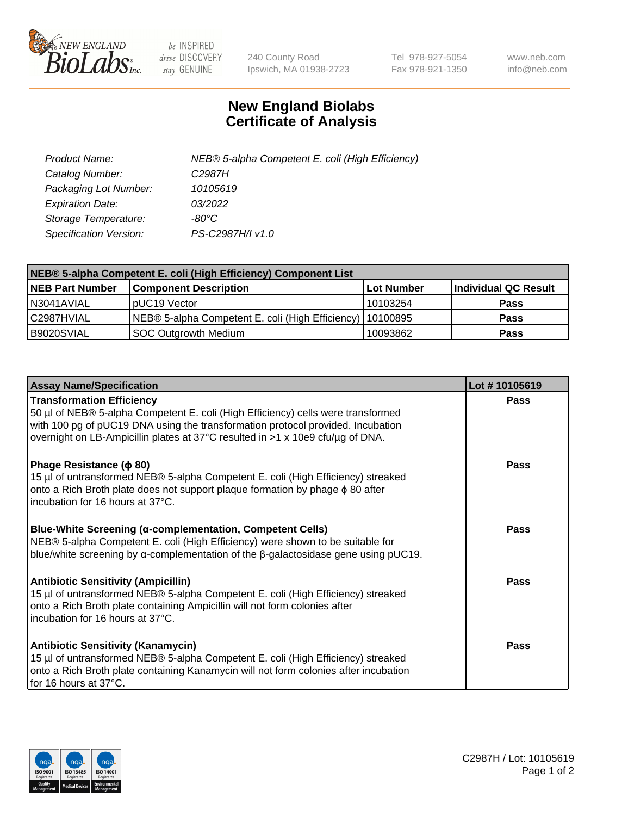

 $be$  INSPIRED drive DISCOVERY stay GENUINE

240 County Road Ipswich, MA 01938-2723 Tel 978-927-5054 Fax 978-921-1350 www.neb.com info@neb.com

## **New England Biolabs Certificate of Analysis**

| Product Name:           | NEB® 5-alpha Competent E. coli (High Efficiency) |
|-------------------------|--------------------------------------------------|
| Catalog Number:         | C <sub>2987</sub> H                              |
| Packaging Lot Number:   | 10105619                                         |
| <b>Expiration Date:</b> | 03/2022                                          |
| Storage Temperature:    | -80°C                                            |
| Specification Version:  | PS-C2987H/I v1.0                                 |

| NEB® 5-alpha Competent E. coli (High Efficiency) Component List |                                                             |                   |                      |  |
|-----------------------------------------------------------------|-------------------------------------------------------------|-------------------|----------------------|--|
| <b>NEB Part Number</b>                                          | <b>Component Description</b>                                | <b>Lot Number</b> | Individual QC Result |  |
| N3041AVIAL                                                      | pUC19 Vector                                                | 10103254          | <b>Pass</b>          |  |
| C2987HVIAL                                                      | NEB® 5-alpha Competent E. coli (High Efficiency)   10100895 |                   | <b>Pass</b>          |  |
| B9020SVIAL                                                      | <b>SOC Outgrowth Medium</b>                                 | 10093862          | <b>Pass</b>          |  |

| <b>Assay Name/Specification</b>                                                                                                                                                                                                                                                           | Lot #10105619 |
|-------------------------------------------------------------------------------------------------------------------------------------------------------------------------------------------------------------------------------------------------------------------------------------------|---------------|
| <b>Transformation Efficiency</b><br>50 µl of NEB® 5-alpha Competent E. coli (High Efficiency) cells were transformed<br>with 100 pg of pUC19 DNA using the transformation protocol provided. Incubation<br>overnight on LB-Ampicillin plates at 37°C resulted in >1 x 10e9 cfu/µg of DNA. | <b>Pass</b>   |
| Phage Resistance ( $\phi$ 80)<br>15 µl of untransformed NEB® 5-alpha Competent E. coli (High Efficiency) streaked<br>onto a Rich Broth plate does not support plaque formation by phage $\phi$ 80 after<br>l incubation for 16 hours at 37°C.                                             | Pass          |
| <b>Blue-White Screening (α-complementation, Competent Cells)</b><br>NEB® 5-alpha Competent E. coli (High Efficiency) were shown to be suitable for<br>blue/white screening by $\alpha$ -complementation of the $\beta$ -galactosidase gene using pUC19.                                   | Pass          |
| <b>Antibiotic Sensitivity (Ampicillin)</b><br>15 µl of untransformed NEB® 5-alpha Competent E. coli (High Efficiency) streaked<br>onto a Rich Broth plate containing Ampicillin will not form colonies after<br>incubation for 16 hours at 37°C.                                          | <b>Pass</b>   |
| <b>Antibiotic Sensitivity (Kanamycin)</b><br>15 µl of untransformed NEB® 5-alpha Competent E. coli (High Efficiency) streaked<br>onto a Rich Broth plate containing Kanamycin will not form colonies after incubation<br>for 16 hours at 37°C.                                            | <b>Pass</b>   |